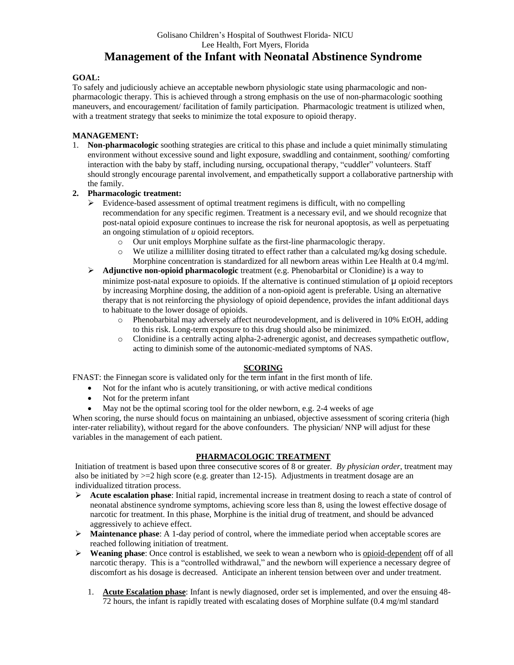# Golisano Children's Hospital of Southwest Florida- NICU Lee Health, Fort Myers, Florida **Management of the Infant with Neonatal Abstinence Syndrome**

## **GOAL:**

To safely and judiciously achieve an acceptable newborn physiologic state using pharmacologic and nonpharmacologic therapy. This is achieved through a strong emphasis on the use of non-pharmacologic soothing maneuvers, and encouragement/ facilitation of family participation. Pharmacologic treatment is utilized when, with a treatment strategy that seeks to minimize the total exposure to opioid therapy.

# **MANAGEMENT:**

1. **Non-pharmacologic** soothing strategies are critical to this phase and include a quiet minimally stimulating environment without excessive sound and light exposure, swaddling and containment, soothing/ comforting interaction with the baby by staff, including nursing, occupational therapy, "cuddler" volunteers. Staff should strongly encourage parental involvement, and empathetically support a collaborative partnership with the family.

#### **2. Pharmacologic treatment:**

- $\triangleright$  Evidence-based assessment of optimal treatment regimens is difficult, with no compelling recommendation for any specific regimen. Treatment is a necessary evil, and we should recognize that post-natal opioid exposure continues to increase the risk for neuronal apoptosis, as well as perpetuating an ongoing stimulation of *u* opioid receptors.
	- o Our unit employs Morphine sulfate as the first-line pharmacologic therapy.
	- o We utilize a milliliter dosing titrated to effect rather than a calculated mg/kg dosing schedule. Morphine concentration is standardized for all newborn areas within Lee Health at 0.4 mg/ml.
- **Adjunctive non-opioid pharmacologic** treatment (e.g. Phenobarbital or Clonidine) is a way to minimize post-natal exposure to opioids. If the alternative is continued stimulation of  $\mu$  opioid receptors by increasing Morphine dosing, the addition of a non-opioid agent is preferable. Using an alternative therapy that is not reinforcing the physiology of opioid dependence, provides the infant additional days to habituate to the lower dosage of opioids.
	- o Phenobarbital may adversely affect neurodevelopment, and is delivered in 10% EtOH, adding to this risk. Long-term exposure to this drug should also be minimized.
	- o Clonidine is a centrally acting alpha-2-adrenergic agonist, and decreases sympathetic outflow, acting to diminish some of the autonomic-mediated symptoms of NAS.

#### **SCORING**

FNAST: the Finnegan score is validated only for the term infant in the first month of life.

- Not for the infant who is acutely transitioning, or with active medical conditions
- Not for the preterm infant
- May not be the optimal scoring tool for the older newborn, e.g. 2-4 weeks of age

When scoring, the nurse should focus on maintaining an unbiased, objective assessment of scoring criteria (high inter-rater reliability), without regard for the above confounders. The physician/ NNP will adjust for these variables in the management of each patient.

## **PHARMACOLOGIC TREATMENT**

Initiation of treatment is based upon three consecutive scores of 8 or greater. *By physician order*, treatment may also be initiated by  $>=2$  high score (e.g. greater than 12-15). Adjustments in treatment dosage are an individualized titration process.

- **Acute escalation phase**: Initial rapid, incremental increase in treatment dosing to reach a state of control of neonatal abstinence syndrome symptoms, achieving score less than 8, using the lowest effective dosage of narcotic for treatment. In this phase, Morphine is the initial drug of treatment, and should be advanced aggressively to achieve effect.
- **Maintenance phase**: A 1-day period of control, where the immediate period when acceptable scores are reached following initiation of treatment.
- **Weaning phase**: Once control is established, we seek to wean a newborn who is opioid-dependent off of all narcotic therapy. This is a "controlled withdrawal," and the newborn will experience a necessary degree of discomfort as his dosage is decreased. Anticipate an inherent tension between over and under treatment.
	- 1. **Acute Escalation phase**: Infant is newly diagnosed, order set is implemented, and over the ensuing 48- 72 hours, the infant is rapidly treated with escalating doses of Morphine sulfate (0.4 mg/ml standard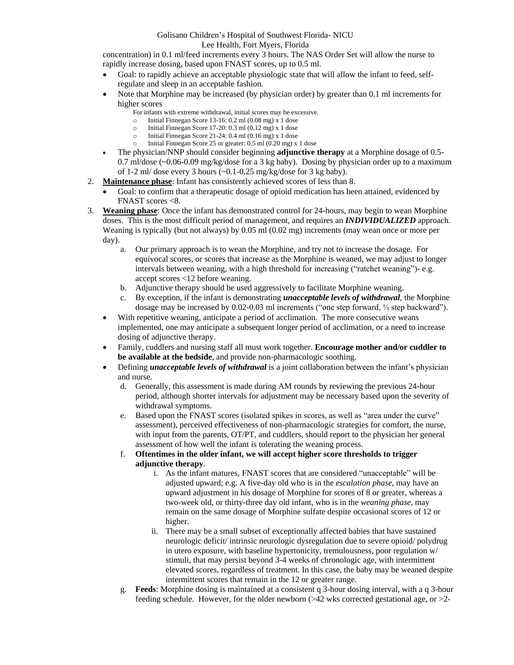#### Golisano Children's Hospital of Southwest Florida- NICU Lee Health, Fort Myers, Florida

concentration) in 0.1 ml/feed increments every 3 hours. The NAS Order Set will allow the nurse to rapidly increase dosing, based upon FNAST scores, up to 0.5 ml.

- Goal: to rapidly achieve an acceptable physiologic state that will allow the infant to feed, selfregulate and sleep in an acceptable fashion.
- Note that Morphine may be increased (by physician order) by greater than 0.1 ml increments for higher scores
	- For infants with extreme withdrawal, initial scores may be excessive.
	- o Initial Finnegan Score 13-16: 0.2 ml (0.08 mg) x 1 dose
	- o Initial Finnegan Score 17-20: 0.3 ml (0.12 mg) x 1 dose
	- o Initial Finnegan Score 21-24: 0.4 ml (0.16 mg) x 1 dose Initial Finnegan Score 25 or greater: 0.5 ml (0.20 mg) x 1 dose
- The physician/NNP should consider beginning **adjunctive therapy** at a Morphine dosage of 0.5- 0.7 ml/dose (~0.06-0.09 mg/kg/dose for a 3 kg baby). Dosing by physician order up to a maximum of 1-2 ml/ dose every 3 hours  $(\sim 0.1 - 0.25 \text{ mg/kg/dose}$  for 3 kg baby).
- 2. **Maintenance phase**: Infant has consistently achieved scores of less than 8.
	- Goal: to confirm that a therapeutic dosage of opioid medication has been attained, evidenced by FNAST scores <8.
- 3. **Weaning phase**: Once the infant has demonstrated control for 24-hours, may begin to wean Morphine doses. This is the most difficult period of management, and requires an *INDIVIDUALIZED* approach. Weaning is typically (but not always) by 0.05 ml (0.02 mg) increments (may wean once or more per day).
	- a. Our primary approach is to wean the Morphine, and try not to increase the dosage. For equivocal scores, or scores that increase as the Morphine is weaned, we may adjust to longer intervals between weaning, with a high threshold for increasing ("ratchet weaning")- e.g. accept scores <12 before weaning.
	- b. Adjunctive therapy should be used aggressively to facilitate Morphine weaning.
	- c. By exception, if the infant is demonstrating *unacceptable levels of withdrawal*, the Morphine dosage may be increased by 0.02-0.03 ml increments ("one step forward, ½ step backward").
	- With repetitive weaning, anticipate a period of acclimation. The more consecutive weans implemented, one may anticipate a subsequent longer period of acclimation, or a need to increase dosing of adjunctive therapy.
	- Family, cuddlers and nursing staff all must work together. **Encourage mother and/or cuddler to be available at the bedside**, and provide non-pharmacologic soothing.
	- Defining *unacceptable levels of withdrawal* is a joint collaboration between the infant's physician and nurse.
		- d. Generally, this assessment is made during AM rounds by reviewing the previous 24-hour period, although shorter intervals for adjustment may be necessary based upon the severity of withdrawal symptoms.
		- e. Based upon the FNAST scores (isolated spikes in scores, as well as "area under the curve" assessment), perceived effectiveness of non-pharmacologic strategies for comfort, the nurse, with input from the parents, OT/PT, and cuddlers, should report to the physician her general assessment of how well the infant is tolerating the weaning process.

## f. **Oftentimes in the older infant, we will accept higher score thresholds to trigger adjunctive therapy**.

- i. As the infant matures, FNAST scores that are considered "unacceptable" will be adjusted upward; e.g. A five-day old who is in the *escalation phase*, may have an upward adjustment in his dosage of Morphine for scores of 8 or greater, whereas a two-week old, or thirty-three day old infant, who is in the *weaning phase*, may remain on the same dosage of Morphine sulfate despite occasional scores of 12 or higher.
- ii. There may be a small subset of exceptionally affected babies that have sustained neurologic deficit/ intrinsic neurologic dysregulation due to severe opioid/ polydrug in utero exposure, with baseline hypertonicity, tremulousness, poor regulation w/ stimuli, that may persist beyond 3-4 weeks of chronologic age, with intermittent elevated scores, regardless of treatment. In this case, the baby may be weaned despite intermittent scores that remain in the 12 or greater range.
- g. **Feeds**: Morphine dosing is maintained at a consistent q 3-hour dosing interval, with a q 3-hour feeding schedule. However, for the older newborn  $(>42$  wks corrected gestational age, or  $>2$ -